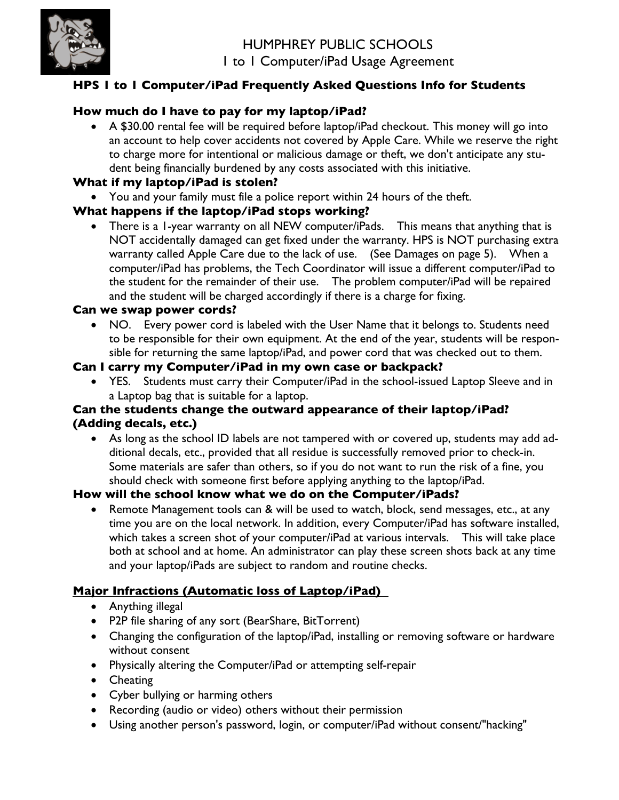

# **HPS 1 to 1 Computer/iPad Frequently Asked Questions Info for Students**

# **How much do I have to pay for my laptop/iPad?**

• A \$30.00 rental fee will be required before laptop/iPad checkout. This money will go into an account to help cover accidents not covered by Apple Care. While we reserve the right to charge more for intentional or malicious damage or theft, we don't anticipate any student being financially burdened by any costs associated with this initiative.

## **What if my laptop/iPad is stolen?**

• You and your family must file a police report within 24 hours of the theft.

## **What happens if the laptop/iPad stops working?**

• There is a 1-year warranty on all NEW computer/iPads. This means that anything that is NOT accidentally damaged can get fixed under the warranty. HPS is NOT purchasing extra warranty called Apple Care due to the lack of use. (See Damages on page 5). When a computer/iPad has problems, the Tech Coordinator will issue a different computer/iPad to the student for the remainder of their use. The problem computer/iPad will be repaired and the student will be charged accordingly if there is a charge for fixing.

## **Can we swap power cords?**

• NO. Every power cord is labeled with the User Name that it belongs to. Students need to be responsible for their own equipment. At the end of the year, students will be responsible for returning the same laptop/iPad, and power cord that was checked out to them.

## **Can I carry my Computer/iPad in my own case or backpack?**

• YES. Students must carry their Computer/iPad in the school-issued Laptop Sleeve and in a Laptop bag that is suitable for a laptop.

## **Can the students change the outward appearance of their laptop/iPad? (Adding decals, etc.)**

• As long as the school ID labels are not tampered with or covered up, students may add additional decals, etc., provided that all residue is successfully removed prior to check-in. Some materials are safer than others, so if you do not want to run the risk of a fine, you should check with someone first before applying anything to the laptop/iPad.

# **How will the school know what we do on the Computer/iPads?**

Remote Management tools can & will be used to watch, block, send messages, etc., at any time you are on the local network. In addition, every Computer/iPad has software installed, which takes a screen shot of your computer/iPad at various intervals. This will take place both at school and at home. An administrator can play these screen shots back at any time and your laptop/iPads are subject to random and routine checks.

# **Major Infractions (Automatic loss of Laptop/iPad)**

- Anything illegal
- P2P file sharing of any sort (BearShare, BitTorrent)
- Changing the configuration of the laptop/iPad, installing or removing software or hardware without consent
- Physically altering the Computer/iPad or attempting self-repair
- Cheating
- Cyber bullying or harming others
- Recording (audio or video) others without their permission
- Using another person's password, login, or computer/iPad without consent/"hacking"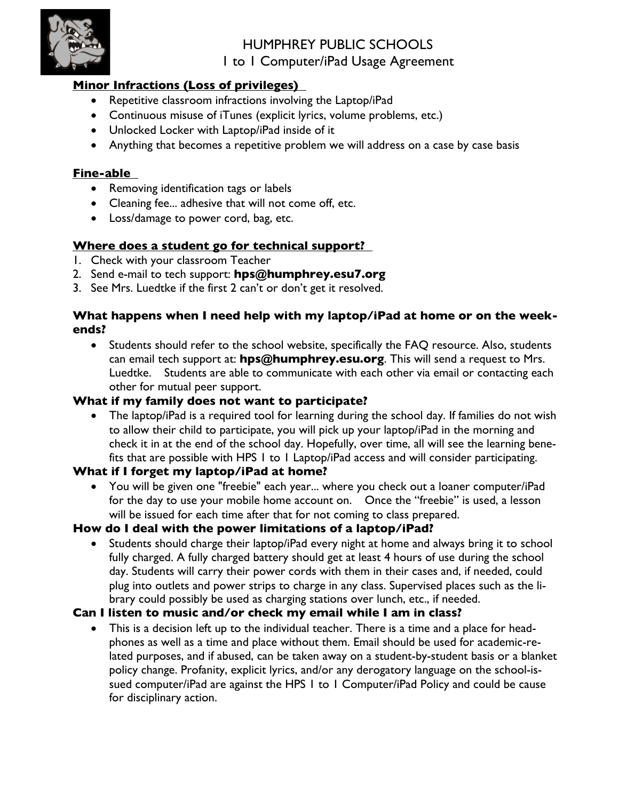

# **Minor Infractions (Loss of privileges)**

- Repetitive classroom infractions involving the Laptop/iPad
- Continuous misuse of iTunes (explicit lyrics, volume problems, etc.)
- Unlocked Locker with Laptop/iPad inside of it
- Anything that becomes a repetitive problem we will address on a case by case basis

## **Fine-able**

- Removing identification tags or labels
- Cleaning fee... adhesive that will not come off, etc.
- Loss/damage to power cord, bag, etc.

# **Where does a student go for technical support?**

- 1. Check with your classroom Teacher
- 2. Send e-mail to tech support: **hps@humphrey.esu7.org**
- 3. See Mrs. Luedtke if the first 2 can't or don't get it resolved.

## **What happens when I need help with my laptop/iPad at home or on the weekends?**

• Students should refer to the school website, specifically the FAQ resource. Also, students can email tech support at: **hps@humphrey.esu.org**. This will send a request to Mrs. Luedtke. Students are able to communicate with each other via email or contacting each other for mutual peer support.

# **What if my family does not want to participate?**

• The laptop/iPad is a required tool for learning during the school day. If families do not wish to allow their child to participate, you will pick up your laptop/iPad in the morning and check it in at the end of the school day. Hopefully, over time, all will see the learning benefits that are possible with HPS 1 to 1 Laptop/iPad access and will consider participating.

## **What if I forget my laptop/iPad at home?**

• You will be given one "freebie" each year... where you check out a loaner computer/iPad for the day to use your mobile home account on. Once the "freebie" is used, a lesson will be issued for each time after that for not coming to class prepared.

## **How do I deal with the power limitations of a laptop/iPad?**

• Students should charge their laptop/iPad every night at home and always bring it to school fully charged. A fully charged battery should get at least 4 hours of use during the school day. Students will carry their power cords with them in their cases and, if needed, could plug into outlets and power strips to charge in any class. Supervised places such as the library could possibly be used as charging stations over lunch, etc., if needed.

## **Can I listen to music and/or check my email while I am in class?**

This is a decision left up to the individual teacher. There is a time and a place for headphones as well as a time and place without them. Email should be used for academic-related purposes, and if abused, can be taken away on a student-by-student basis or a blanket policy change. Profanity, explicit lyrics, and/or any derogatory language on the school-issued computer/iPad are against the HPS 1 to 1 Computer/iPad Policy and could be cause for disciplinary action.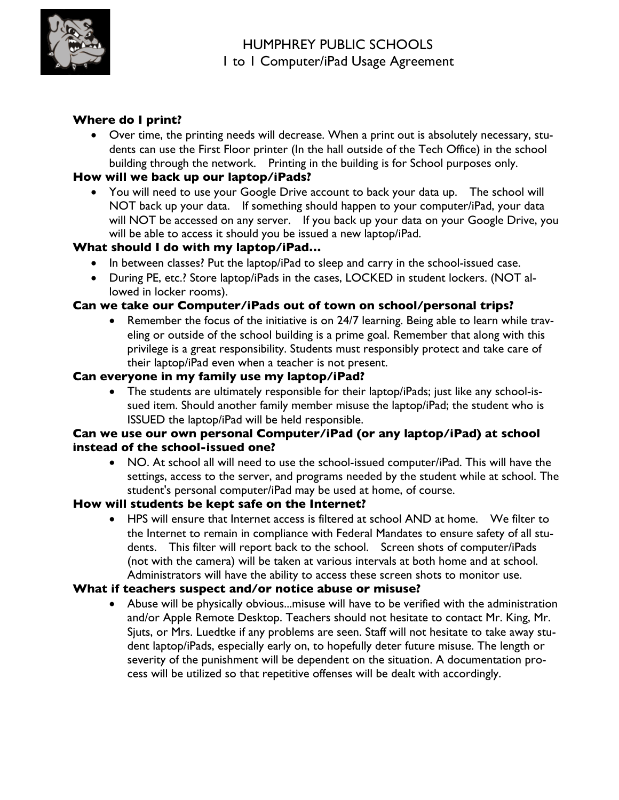

# **Where do I print?**

• Over time, the printing needs will decrease. When a print out is absolutely necessary, students can use the First Floor printer (In the hall outside of the Tech Office) in the school building through the network. Printing in the building is for School purposes only.

# **How will we back up our laptop/iPads?**

• You will need to use your Google Drive account to back your data up. The school will NOT back up your data. If something should happen to your computer/iPad, your data will NOT be accessed on any server. If you back up your data on your Google Drive, you will be able to access it should you be issued a new laptop/iPad.

## **What should I do with my laptop/iPad…**

- In between classes? Put the laptop/iPad to sleep and carry in the school-issued case.
- During PE, etc.? Store laptop/iPads in the cases, LOCKED in student lockers. (NOT allowed in locker rooms).

## **Can we take our Computer/iPads out of town on school/personal trips?**

• Remember the focus of the initiative is on 24/7 learning. Being able to learn while traveling or outside of the school building is a prime goal. Remember that along with this privilege is a great responsibility. Students must responsibly protect and take care of their laptop/iPad even when a teacher is not present.

## **Can everyone in my family use my laptop/iPad?**

• The students are ultimately responsible for their laptop/iPads; just like any school-issued item. Should another family member misuse the laptop/iPad; the student who is ISSUED the laptop/iPad will be held responsible.

## **Can we use our own personal Computer/iPad (or any laptop/iPad) at school instead of the school-issued one?**

• NO. At school all will need to use the school-issued computer/iPad. This will have the settings, access to the server, and programs needed by the student while at school. The student's personal computer/iPad may be used at home, of course.

## **How will students be kept safe on the Internet?**

• HPS will ensure that Internet access is filtered at school AND at home. We filter to the Internet to remain in compliance with Federal Mandates to ensure safety of all students. This filter will report back to the school. Screen shots of computer/iPads (not with the camera) will be taken at various intervals at both home and at school. Administrators will have the ability to access these screen shots to monitor use.

## **What if teachers suspect and/or notice abuse or misuse?**

• Abuse will be physically obvious...misuse will have to be verified with the administration and/or Apple Remote Desktop. Teachers should not hesitate to contact Mr. King, Mr. Sjuts, or Mrs. Luedtke if any problems are seen. Staff will not hesitate to take away student laptop/iPads, especially early on, to hopefully deter future misuse. The length or severity of the punishment will be dependent on the situation. A documentation process will be utilized so that repetitive offenses will be dealt with accordingly.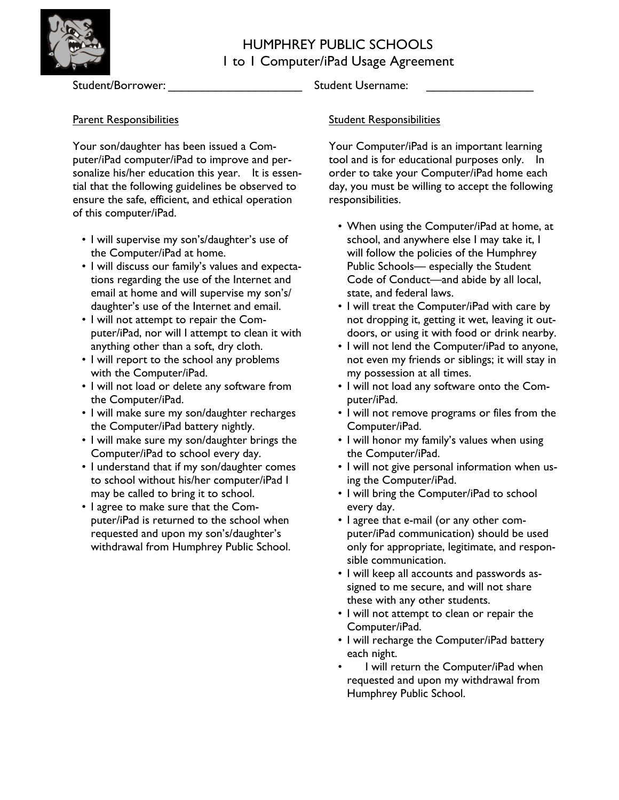

# Parent Responsibilities

Your son/daughter has been issued a Computer/iPad computer/iPad to improve and personalize his/her education this year. It is essential that the following guidelines be observed to ensure the safe, efficient, and ethical operation of this computer/iPad.

- I will supervise my son's/daughter's use of the Computer/iPad at home.
- I will discuss our family's values and expectations regarding the use of the Internet and email at home and will supervise my son's/ daughter's use of the Internet and email.
- I will not attempt to repair the Computer/iPad, nor will I attempt to clean it with anything other than a soft, dry cloth.
- I will report to the school any problems with the Computer/iPad.
- I will not load or delete any software from the Computer/iPad.
- I will make sure my son/daughter recharges the Computer/iPad battery nightly.
- I will make sure my son/daughter brings the Computer/iPad to school every day.
- I understand that if my son/daughter comes to school without his/her computer/iPad I may be called to bring it to school.
- I agree to make sure that the Computer/iPad is returned to the school when requested and upon my son's/daughter's withdrawal from Humphrey Public School.

Student/Borrower: \_\_\_\_\_\_\_\_\_\_\_\_\_\_\_\_\_\_\_\_ Student Username: \_\_\_\_\_\_\_\_\_\_\_\_\_\_\_\_

## **Student Responsibilities**

Your Computer/iPad is an important learning tool and is for educational purposes only. In order to take your Computer/iPad home each day, you must be willing to accept the following responsibilities.

- When using the Computer/iPad at home, at school, and anywhere else I may take it, I will follow the policies of the Humphrey Public Schools— especially the Student Code of Conduct—and abide by all local, state, and federal laws.
- I will treat the Computer/iPad with care by not dropping it, getting it wet, leaving it outdoors, or using it with food or drink nearby.
- I will not lend the Computer/iPad to anyone, not even my friends or siblings; it will stay in my possession at all times.
- I will not load any software onto the Computer/iPad.
- I will not remove programs or files from the Computer/iPad.
- I will honor my family's values when using the Computer/iPad.
- I will not give personal information when using the Computer/iPad.
- I will bring the Computer/iPad to school every day.
- I agree that e-mail (or any other computer/iPad communication) should be used only for appropriate, legitimate, and responsible communication.
- I will keep all accounts and passwords assigned to me secure, and will not share these with any other students.
- I will not attempt to clean or repair the Computer/iPad.
- I will recharge the Computer/iPad battery each night.
- I will return the Computer/iPad when requested and upon my withdrawal from Humphrey Public School.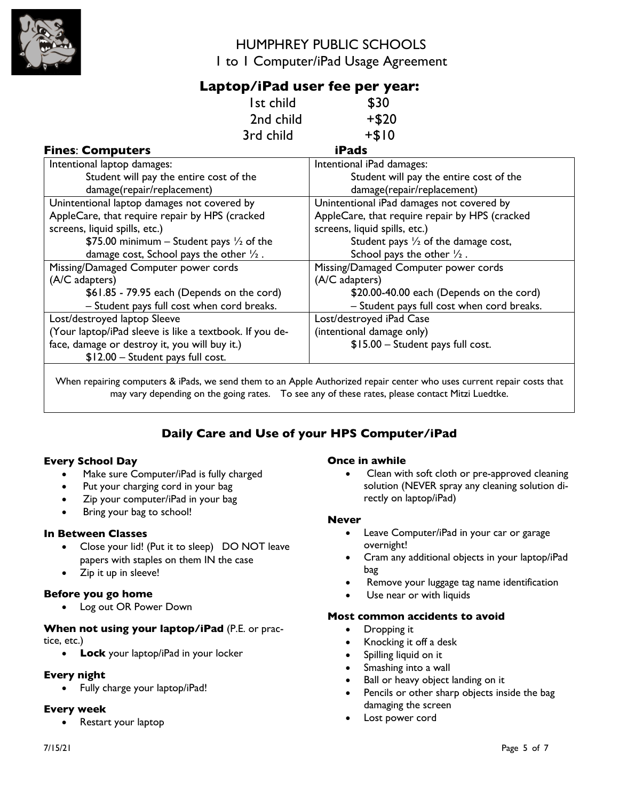

# **Laptop/iPad user fee per year:**

|                                             | l st child | \$30                                      |
|---------------------------------------------|------------|-------------------------------------------|
|                                             | 2nd child  | $+ $20$                                   |
|                                             | 3rd child  | $+ $10$                                   |
| <b>Fines: Computers</b>                     |            | <b>iPads</b>                              |
| Intentional laptop damages:                 |            | Intentional iPad damages:                 |
| Student will pay the entire cost of the     |            | Student will pay the entire cost of the   |
| damage(repair/replacement)                  |            | damage(repair/replacement)                |
| Unintentional laptop damages not covered by |            | Unintentional iPad damages not covered by |

| $\frac{1}{2}$                                           | $\frac{1}{2}$                                  |
|---------------------------------------------------------|------------------------------------------------|
| AppleCare, that require repair by HPS (cracked          | AppleCare, that require repair by HPS (cracked |
| screens, liquid spills, etc.)                           | screens, liquid spills, etc.)                  |
| \$75.00 minimum – Student pays $\frac{1}{2}$ of the     | Student pays $\frac{1}{2}$ of the damage cost, |
| damage cost, School pays the other $\frac{1}{2}$ .      | School pays the other $\frac{1}{2}$ .          |
| Missing/Damaged Computer power cords                    | Missing/Damaged Computer power cords           |
| (A/C adapters)                                          | (A/C adapters)                                 |
| \$61.85 - 79.95 each (Depends on the cord)              | \$20.00-40.00 each (Depends on the cord)       |
| - Student pays full cost when cord breaks.              | - Student pays full cost when cord breaks.     |
| Lost/destroyed laptop Sleeve                            | Lost/destroyed iPad Case                       |
| (Your laptop/iPad sleeve is like a textbook. If you de- | (intentional damage only)                      |
| face, damage or destroy it, you will buy it.)           | \$15.00 - Student pays full cost.              |
| \$12.00 - Student pays full cost.                       |                                                |

When repairing computers & iPads, we send them to an Apple Authorized repair center who uses current repair costs that may vary depending on the going rates. To see any of these rates, please contact Mitzi Luedtke.

# **Daily Care and Use of your HPS Computer/iPad**

#### **Every School Day**

- Make sure Computer/iPad is fully charged
- Put your charging cord in your bag
- Zip your computer/iPad in your bag
- Bring your bag to school!

#### **In Between Classes**

- Close your lid! (Put it to sleep) DO NOT leave papers with staples on them IN the case
- Zip it up in sleeve!

#### **Before you go home**

• Log out OR Power Down

#### **When not using your laptop/iPad** (P.E. or practice, etc.)

• **Lock** your laptop/iPad in your locker

#### **Every night**

• Fully charge your laptop/iPad!

#### **Every week**

Restart your laptop

#### **Once in awhile**

• Clean with soft cloth or pre-approved cleaning solution (NEVER spray any cleaning solution directly on laptop/iPad)

#### **Never**

- Leave Computer/iPad in your car or garage overnight!
- Cram any additional objects in your laptop/iPad bag
- Remove your luggage tag name identification
- Use near or with liquids

#### **Most common accidents to avoid**

- Dropping it
- Knocking it off a desk
- Spilling liquid on it
- Smashing into a wall
- Ball or heavy object landing on it
- Pencils or other sharp objects inside the bag damaging the screen
- Lost power cord